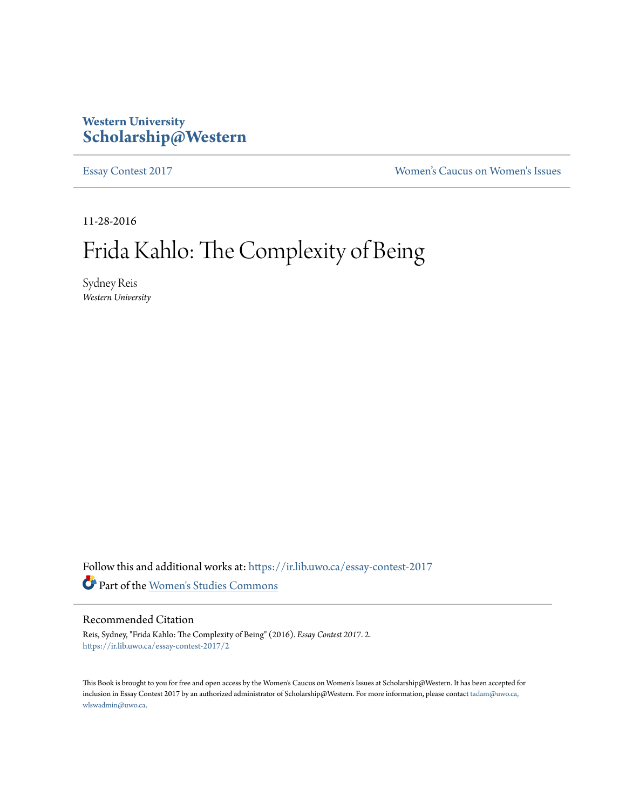## **Western University [Scholarship@Western](https://ir.lib.uwo.ca?utm_source=ir.lib.uwo.ca%2Fessay-contest-2017%2F2&utm_medium=PDF&utm_campaign=PDFCoverPages)**

[Essay Contest 2017](https://ir.lib.uwo.ca/essay-contest-2017?utm_source=ir.lib.uwo.ca%2Fessay-contest-2017%2F2&utm_medium=PDF&utm_campaign=PDFCoverPages) [Women's Caucus on Women's Issues](https://ir.lib.uwo.ca/wcwi?utm_source=ir.lib.uwo.ca%2Fessay-contest-2017%2F2&utm_medium=PDF&utm_campaign=PDFCoverPages)

11-28-2016

## Frida Kahlo: The Complexity of Being

Sydney Reis *Western University*

Follow this and additional works at: [https://ir.lib.uwo.ca/essay-contest-2017](https://ir.lib.uwo.ca/essay-contest-2017?utm_source=ir.lib.uwo.ca%2Fessay-contest-2017%2F2&utm_medium=PDF&utm_campaign=PDFCoverPages) Part of the [Women's Studies Commons](http://network.bepress.com/hgg/discipline/561?utm_source=ir.lib.uwo.ca%2Fessay-contest-2017%2F2&utm_medium=PDF&utm_campaign=PDFCoverPages)

## Recommended Citation

Reis, Sydney, "Frida Kahlo: The Complexity of Being" (2016). *Essay Contest 2017*. 2. [https://ir.lib.uwo.ca/essay-contest-2017/2](https://ir.lib.uwo.ca/essay-contest-2017/2?utm_source=ir.lib.uwo.ca%2Fessay-contest-2017%2F2&utm_medium=PDF&utm_campaign=PDFCoverPages)

This Book is brought to you for free and open access by the Women's Caucus on Women's Issues at Scholarship@Western. It has been accepted for inclusion in Essay Contest 2017 by an authorized administrator of Scholarship@Western. For more information, please contact [tadam@uwo.ca,](mailto:tadam@uwo.ca,%20wlswadmin@uwo.ca) [wlswadmin@uwo.ca](mailto:tadam@uwo.ca,%20wlswadmin@uwo.ca).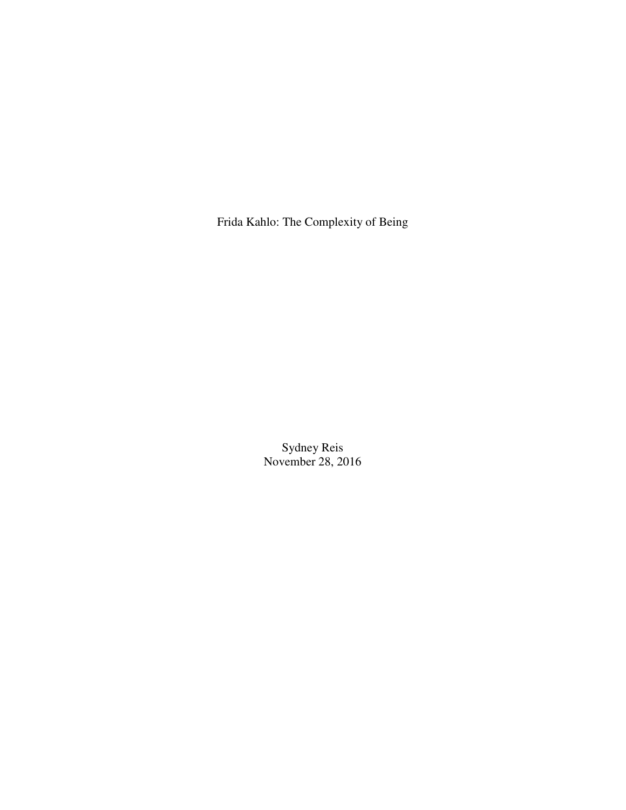Frida Kahlo: The Complexity of Being

Sydney Reis November 28, 2016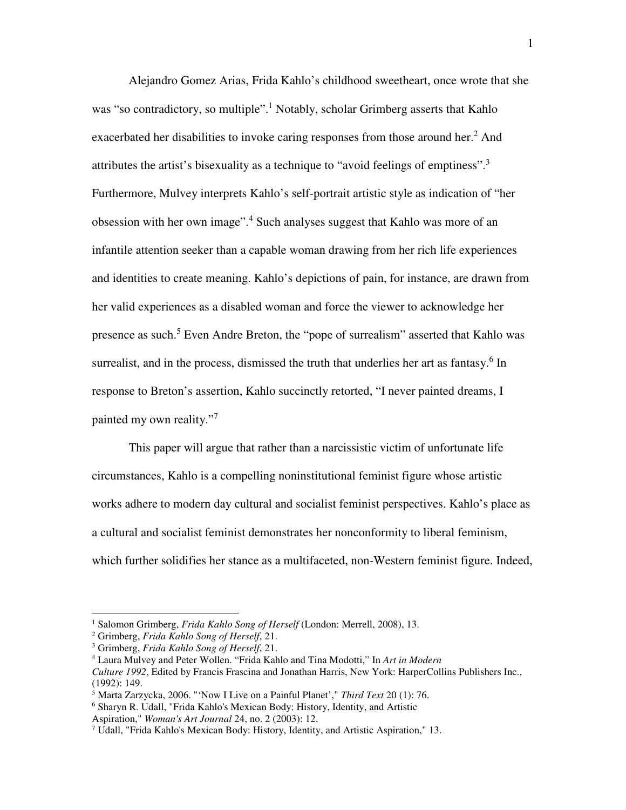Alejandro Gomez Arias, Frida Kahlo's childhood sweetheart, once wrote that she was "so contradictory, so multiple".<sup>1</sup> Notably, scholar Grimberg asserts that Kahlo exacerbated her disabilities to invoke caring responses from those around her.<sup>2</sup> And attributes the artist's bisexuality as a technique to "avoid feelings of emptiness".<sup>3</sup> Furthermore, Mulvey interprets Kahlo's self-portrait artistic style as indication of "her obsession with her own image".<sup>4</sup> Such analyses suggest that Kahlo was more of an infantile attention seeker than a capable woman drawing from her rich life experiences and identities to create meaning. Kahlo's depictions of pain, for instance, are drawn from her valid experiences as a disabled woman and force the viewer to acknowledge her presence as such.<sup>5</sup> Even Andre Breton, the "pope of surrealism" asserted that Kahlo was surrealist, and in the process, dismissed the truth that underlies her art as fantasy.<sup>6</sup> In response to Breton's assertion, Kahlo succinctly retorted, "I never painted dreams, I painted my own reality."7

This paper will argue that rather than a narcissistic victim of unfortunate life circumstances, Kahlo is a compelling noninstitutional feminist figure whose artistic works adhere to modern day cultural and socialist feminist perspectives. Kahlo's place as a cultural and socialist feminist demonstrates her nonconformity to liberal feminism, which further solidifies her stance as a multifaceted, non-Western feminist figure. Indeed,

<sup>&</sup>lt;sup>1</sup> Salomon Grimberg, *Frida Kahlo Song of Herself* (London: Merrell, 2008), 13.

<sup>2</sup> Grimberg, *Frida Kahlo Song of Herself*, 21.

<sup>3</sup> Grimberg, *Frida Kahlo Song of Herself*, 21.

<sup>4</sup> Laura Mulvey and Peter Wollen. "Frida Kahlo and Tina Modotti," In *Art in Modern* 

*Culture 1992*, Edited by Francis Frascina and Jonathan Harris, New York: HarperCollins Publishers Inc., (1992): 149.

<sup>5</sup> Marta Zarzycka, 2006. "'Now I Live on a Painful Planet'," *Third Text* 20 (1): 76.

<sup>6</sup> Sharyn R. Udall, "Frida Kahlo's Mexican Body: History, Identity, and Artistic Aspiration," *Woman's Art Journal* 24, no. 2 (2003): 12.

<sup>7</sup> Udall, "Frida Kahlo's Mexican Body: History, Identity, and Artistic Aspiration," 13.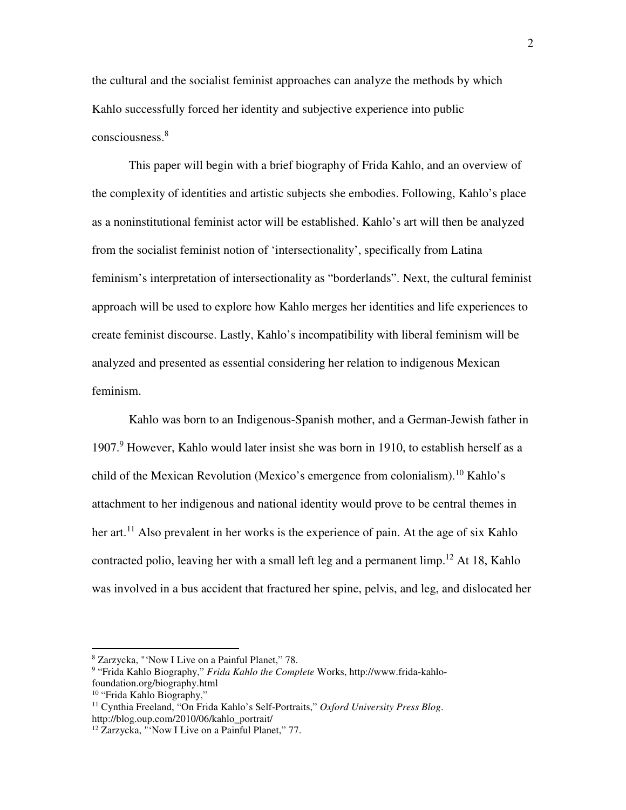the cultural and the socialist feminist approaches can analyze the methods by which Kahlo successfully forced her identity and subjective experience into public consciousness.<sup>8</sup>

This paper will begin with a brief biography of Frida Kahlo, and an overview of the complexity of identities and artistic subjects she embodies. Following, Kahlo's place as a noninstitutional feminist actor will be established. Kahlo's art will then be analyzed from the socialist feminist notion of 'intersectionality', specifically from Latina feminism's interpretation of intersectionality as "borderlands". Next, the cultural feminist approach will be used to explore how Kahlo merges her identities and life experiences to create feminist discourse. Lastly, Kahlo's incompatibility with liberal feminism will be analyzed and presented as essential considering her relation to indigenous Mexican feminism.

 Kahlo was born to an Indigenous-Spanish mother, and a German-Jewish father in 1907.<sup>9</sup> However, Kahlo would later insist she was born in 1910, to establish herself as a child of the Mexican Revolution (Mexico's emergence from colonialism).<sup>10</sup> Kahlo's attachment to her indigenous and national identity would prove to be central themes in her art.<sup>11</sup> Also prevalent in her works is the experience of pain. At the age of six Kahlo contracted polio, leaving her with a small left leg and a permanent limp.<sup>12</sup> At 18, Kahlo was involved in a bus accident that fractured her spine, pelvis, and leg, and dislocated her

<sup>8</sup> Zarzycka, "'Now I Live on a Painful Planet," 78.

<sup>9</sup> "Frida Kahlo Biography," *Frida Kahlo the Complete* Works, http://www.frida-kahlofoundation.org/biography.html

<sup>10</sup> "Frida Kahlo Biography,"

<sup>11</sup> Cynthia Freeland, "On Frida Kahlo's Self-Portraits," *Oxford University Press Blog*. http://blog.oup.com/2010/06/kahlo\_portrait/

<sup>&</sup>lt;sup>12</sup> Zarzycka, "'Now I Live on a Painful Planet," 77.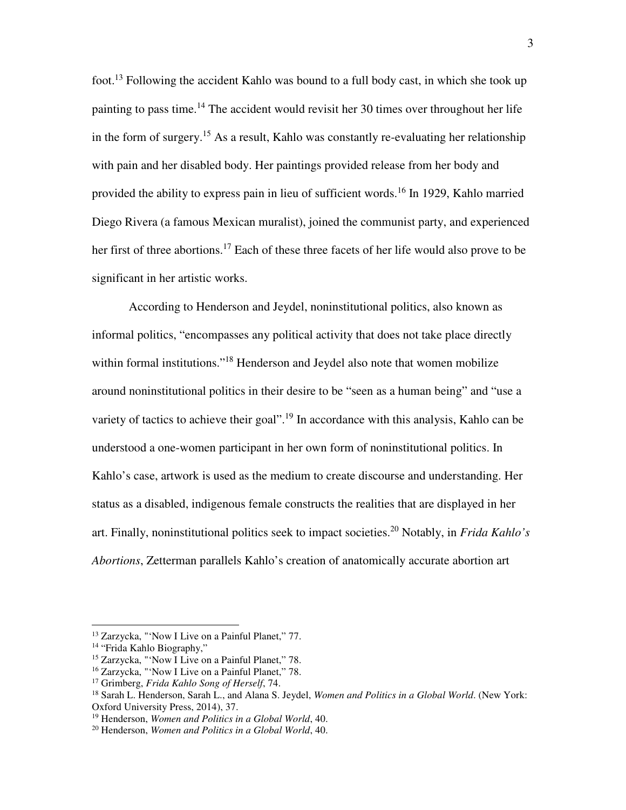foot.<sup>13</sup> Following the accident Kahlo was bound to a full body cast, in which she took up painting to pass time.<sup>14</sup> The accident would revisit her 30 times over throughout her life in the form of surgery.<sup>15</sup> As a result, Kahlo was constantly re-evaluating her relationship with pain and her disabled body. Her paintings provided release from her body and provided the ability to express pain in lieu of sufficient words.<sup>16</sup> In 1929, Kahlo married Diego Rivera (a famous Mexican muralist), joined the communist party, and experienced her first of three abortions.<sup>17</sup> Each of these three facets of her life would also prove to be significant in her artistic works.

 According to Henderson and Jeydel, noninstitutional politics, also known as informal politics, "encompasses any political activity that does not take place directly within formal institutions."<sup>18</sup> Henderson and Jeydel also note that women mobilize around noninstitutional politics in their desire to be "seen as a human being" and "use a variety of tactics to achieve their goal".<sup>19</sup> In accordance with this analysis, Kahlo can be understood a one-women participant in her own form of noninstitutional politics. In Kahlo's case, artwork is used as the medium to create discourse and understanding. Her status as a disabled, indigenous female constructs the realities that are displayed in her art. Finally, noninstitutional politics seek to impact societies.<sup>20</sup> Notably, in *Frida Kahlo's Abortions*, Zetterman parallels Kahlo's creation of anatomically accurate abortion art

<sup>13</sup> Zarzycka, "'Now I Live on a Painful Planet," 77.

<sup>&</sup>lt;sup>14</sup> "Frida Kahlo Biography,"

<sup>15</sup> Zarzycka, "'Now I Live on a Painful Planet," 78.

<sup>16</sup> Zarzycka, "'Now I Live on a Painful Planet," 78.

<sup>17</sup> Grimberg, *Frida Kahlo Song of Herself*, 74.

<sup>18</sup> Sarah L. Henderson, Sarah L., and Alana S. Jeydel, *Women and Politics in a Global World*. (New York: Oxford University Press, 2014), 37.

<sup>19</sup> Henderson, *Women and Politics in a Global World*, 40.

<sup>20</sup> Henderson, *Women and Politics in a Global World*, 40.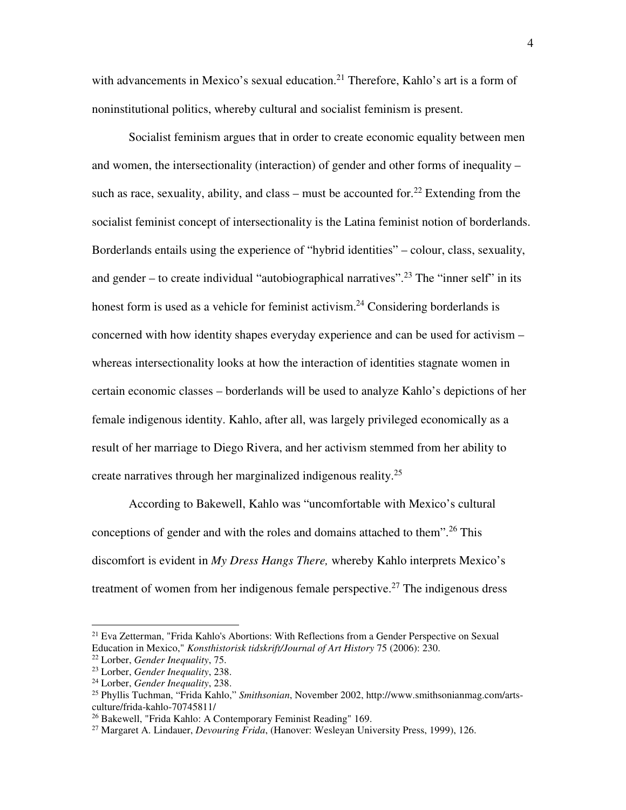with advancements in Mexico's sexual education.<sup>21</sup> Therefore, Kahlo's art is a form of noninstitutional politics, whereby cultural and socialist feminism is present.

Socialist feminism argues that in order to create economic equality between men and women, the intersectionality (interaction) of gender and other forms of inequality – such as race, sexuality, ability, and class – must be accounted for.<sup>22</sup> Extending from the socialist feminist concept of intersectionality is the Latina feminist notion of borderlands. Borderlands entails using the experience of "hybrid identities" – colour, class, sexuality, and gender – to create individual "autobiographical narratives".<sup>23</sup> The "inner self" in its honest form is used as a vehicle for feminist activism.<sup>24</sup> Considering borderlands is concerned with how identity shapes everyday experience and can be used for activism – whereas intersectionality looks at how the interaction of identities stagnate women in certain economic classes – borderlands will be used to analyze Kahlo's depictions of her female indigenous identity. Kahlo, after all, was largely privileged economically as a result of her marriage to Diego Rivera, and her activism stemmed from her ability to create narratives through her marginalized indigenous reality.<sup>25</sup>

According to Bakewell, Kahlo was "uncomfortable with Mexico's cultural conceptions of gender and with the roles and domains attached to them".<sup>26</sup> This discomfort is evident in *My Dress Hangs There,* whereby Kahlo interprets Mexico's treatment of women from her indigenous female perspective.<sup>27</sup> The indigenous dress

<sup>&</sup>lt;sup>21</sup> Eva Zetterman, "Frida Kahlo's Abortions: With Reflections from a Gender Perspective on Sexual Education in Mexico," *Konsthistorisk tidskrift/Journal of Art History* 75 (2006): 230.

<sup>22</sup> Lorber, *Gender Inequality*, 75.

<sup>23</sup> Lorber, *Gender Inequality*, 238.

<sup>24</sup> Lorber, *Gender Inequality*, 238.

<sup>25</sup> Phyllis Tuchman, "Frida Kahlo," *Smithsonian*, November 2002, http://www.smithsonianmag.com/artsculture/frida-kahlo-70745811/

<sup>&</sup>lt;sup>26</sup> Bakewell, "Frida Kahlo: A Contemporary Feminist Reading" 169.

<sup>27</sup> Margaret A. Lindauer, *Devouring Frida*, (Hanover: Wesleyan University Press, 1999), 126.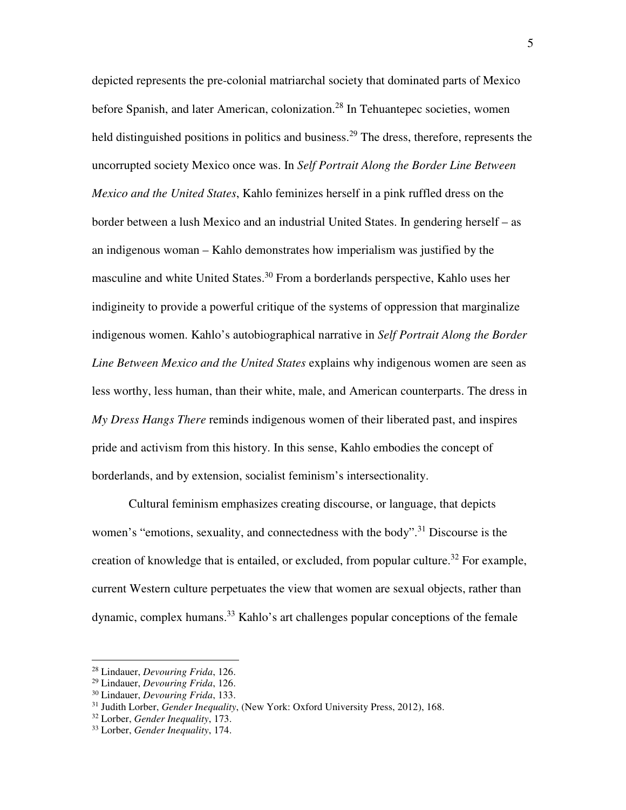depicted represents the pre-colonial matriarchal society that dominated parts of Mexico before Spanish, and later American, colonization.<sup>28</sup> In Tehuantepec societies, women held distinguished positions in politics and business.<sup>29</sup> The dress, therefore, represents the uncorrupted society Mexico once was. In *Self Portrait Along the Border Line Between Mexico and the United States*, Kahlo feminizes herself in a pink ruffled dress on the border between a lush Mexico and an industrial United States. In gendering herself – as an indigenous woman – Kahlo demonstrates how imperialism was justified by the masculine and white United States.<sup>30</sup> From a borderlands perspective, Kahlo uses her indigineity to provide a powerful critique of the systems of oppression that marginalize indigenous women. Kahlo's autobiographical narrative in *Self Portrait Along the Border Line Between Mexico and the United States* explains why indigenous women are seen as less worthy, less human, than their white, male, and American counterparts. The dress in *My Dress Hangs There* reminds indigenous women of their liberated past, and inspires pride and activism from this history. In this sense, Kahlo embodies the concept of borderlands, and by extension, socialist feminism's intersectionality.

Cultural feminism emphasizes creating discourse, or language, that depicts women's "emotions, sexuality, and connectedness with the body".<sup>31</sup> Discourse is the creation of knowledge that is entailed, or excluded, from popular culture.<sup>32</sup> For example, current Western culture perpetuates the view that women are sexual objects, rather than  $d$ ynamic, complex humans.<sup>33</sup> Kahlo's art challenges popular conceptions of the female

<sup>28</sup> Lindauer, *Devouring Frida*, 126.

<sup>29</sup> Lindauer, *Devouring Frida*, 126.

<sup>30</sup> Lindauer, *Devouring Frida*, 133.

<sup>31</sup> Judith Lorber, *Gender Inequality*, (New York: Oxford University Press, 2012), 168.

<sup>32</sup> Lorber, *Gender Inequality*, 173.

<sup>33</sup> Lorber, *Gender Inequality*, 174.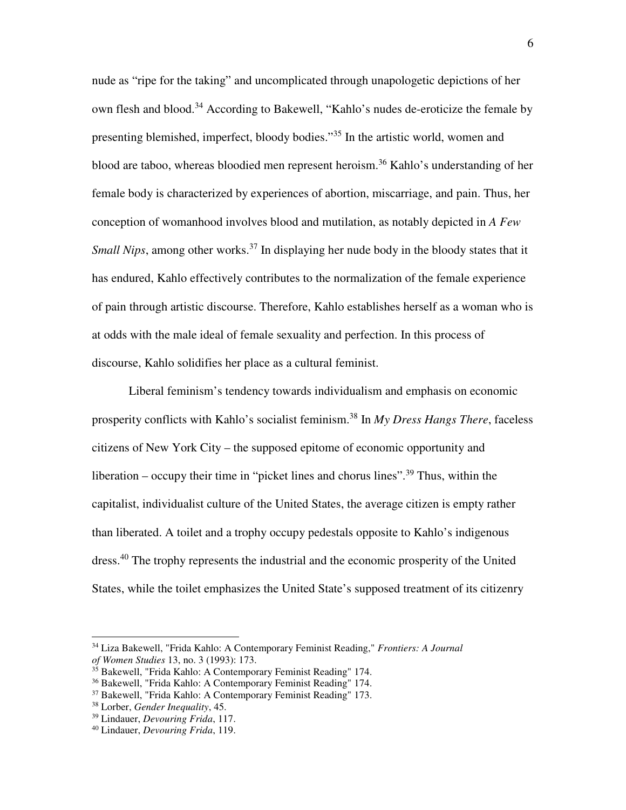nude as "ripe for the taking" and uncomplicated through unapologetic depictions of her own flesh and blood.<sup>34</sup> According to Bakewell, "Kahlo's nudes de-eroticize the female by presenting blemished, imperfect, bloody bodies."<sup>35</sup> In the artistic world, women and blood are taboo, whereas bloodied men represent heroism.<sup>36</sup> Kahlo's understanding of her female body is characterized by experiences of abortion, miscarriage, and pain. Thus, her conception of womanhood involves blood and mutilation, as notably depicted in *A Few Small Nips*, among other works.<sup>37</sup> In displaying her nude body in the bloody states that it has endured, Kahlo effectively contributes to the normalization of the female experience of pain through artistic discourse. Therefore, Kahlo establishes herself as a woman who is at odds with the male ideal of female sexuality and perfection. In this process of discourse, Kahlo solidifies her place as a cultural feminist.

Liberal feminism's tendency towards individualism and emphasis on economic prosperity conflicts with Kahlo's socialist feminism.<sup>38</sup> In *My Dress Hangs There*, faceless citizens of New York City – the supposed epitome of economic opportunity and liberation – occupy their time in "picket lines and chorus lines".<sup>39</sup> Thus, within the capitalist, individualist culture of the United States, the average citizen is empty rather than liberated. A toilet and a trophy occupy pedestals opposite to Kahlo's indigenous dress.<sup>40</sup> The trophy represents the industrial and the economic prosperity of the United States, while the toilet emphasizes the United State's supposed treatment of its citizenry

<sup>34</sup> Liza Bakewell, "Frida Kahlo: A Contemporary Feminist Reading," *Frontiers: A Journal of Women Studies* 13, no. 3 (1993): 173.

 $35$  Bakewell, "Frida Kahlo: A Contemporary Feminist Reading" 174.

<sup>36</sup> Bakewell, "Frida Kahlo: A Contemporary Feminist Reading" 174.

<sup>37</sup> Bakewell, "Frida Kahlo: A Contemporary Feminist Reading" 173.

<sup>38</sup> Lorber, *Gender Inequality*, 45.

<sup>39</sup> Lindauer, *Devouring Frida*, 117.

<sup>40</sup> Lindauer, *Devouring Frida*, 119.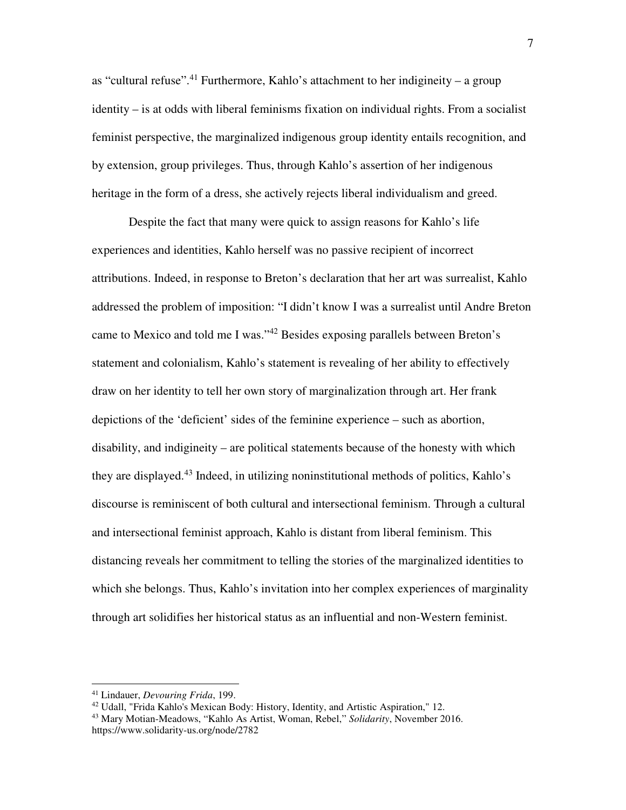as "cultural refuse".<sup>41</sup> Furthermore, Kahlo's attachment to her indigineity – a group identity – is at odds with liberal feminisms fixation on individual rights. From a socialist feminist perspective, the marginalized indigenous group identity entails recognition, and by extension, group privileges. Thus, through Kahlo's assertion of her indigenous heritage in the form of a dress, she actively rejects liberal individualism and greed.

Despite the fact that many were quick to assign reasons for Kahlo's life experiences and identities, Kahlo herself was no passive recipient of incorrect attributions. Indeed, in response to Breton's declaration that her art was surrealist, Kahlo addressed the problem of imposition: "I didn't know I was a surrealist until Andre Breton came to Mexico and told me I was."<sup>42</sup> Besides exposing parallels between Breton's statement and colonialism, Kahlo's statement is revealing of her ability to effectively draw on her identity to tell her own story of marginalization through art. Her frank depictions of the 'deficient' sides of the feminine experience – such as abortion, disability, and indigineity – are political statements because of the honesty with which they are displayed.<sup>43</sup> Indeed, in utilizing noninstitutional methods of politics, Kahlo's discourse is reminiscent of both cultural and intersectional feminism. Through a cultural and intersectional feminist approach, Kahlo is distant from liberal feminism. This distancing reveals her commitment to telling the stories of the marginalized identities to which she belongs. Thus, Kahlo's invitation into her complex experiences of marginality through art solidifies her historical status as an influential and non-Western feminist.

<sup>41</sup> Lindauer, *Devouring Frida*, 199.

<sup>&</sup>lt;sup>42</sup> Udall, "Frida Kahlo's Mexican Body: History, Identity, and Artistic Aspiration," 12.

<sup>43</sup> Mary Motian-Meadows, "Kahlo As Artist, Woman, Rebel," *Solidarity*, November 2016. https://www.solidarity-us.org/node/2782